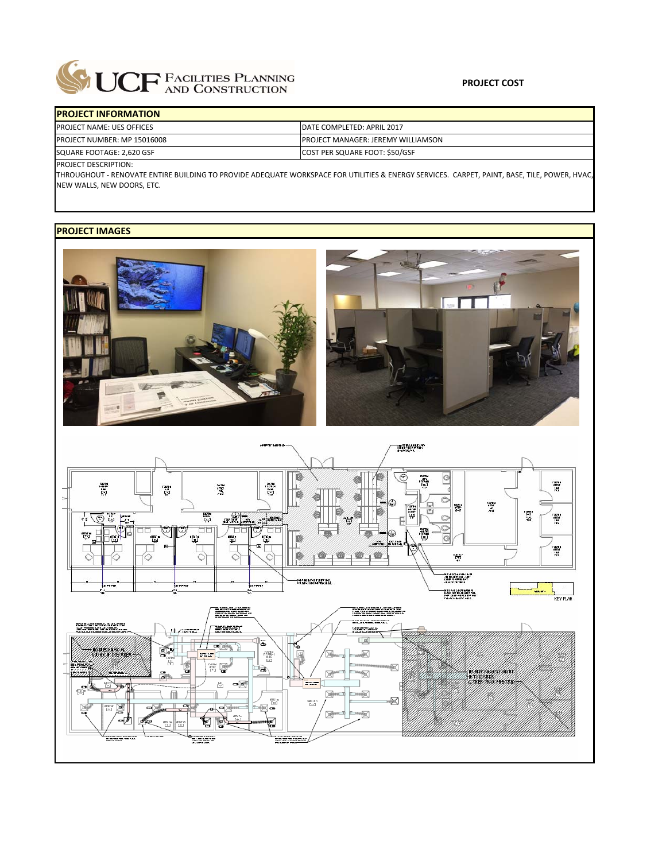

## **PROJECT INFORMATION** PROJECT NAME: UES OFFICES PROJECT NUMBER: MP 15016008 SQUARE FOOTAGE: 2,620 GSF COST PER SQUARE FOOT: \$50/GSF DATE COMPLETED: APRIL 2017 PROJECT MANAGER: JEREMY WILLIAMSON

PROJECT DESCRIPTION:

THROUGHOUT ‐ RENOVATE ENTIRE BUILDING TO PROVIDE ADEQUATE WORKSPACE FOR UTILITIES & ENERGY SERVICES. CARPET, PAINT, BASE, TILE, POWER, HVAC, NEW WALLS, NEW DOORS, ETC.

## **PROJECT IMAGES**